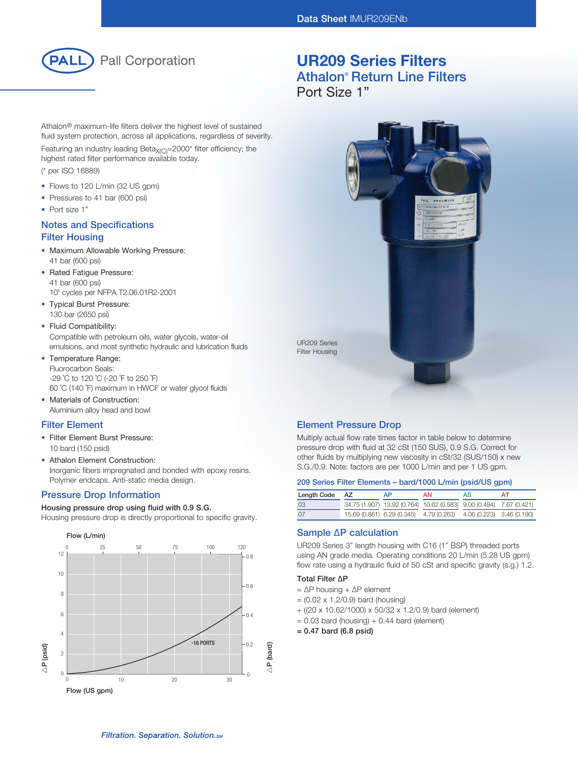

Athalon® maximum-life filters deliver the highest level of sustained fluid system protection, across all applications, regardless of severity.

Featuring an industry leading Beta<sub> $X(C)$ </sub>=2000\* filter efficiency; the highest rated filter performance available today.

(\* per ISO 16889)

- Flows to 120 L/min (32 US gpm)
- Pressures to 41 bar (600 psi)
- Port size 1"

### Notes and Specifications Filter Housing

- Maximum Allowable Working Pressure: 41 bar (600 psi)
- Rated Fatigue Pressure: 41 bar (600 psi) 106 cycles per NFPA T2.06.01R2-2001
- Typical Burst Pressure: 130 bar (2650 psi)
- Fluid Compatibility: Compatible with petroleum oils, water glycols, water-oil emulsions, and most synthetic hydraulic and lubrication fluids
- Temperature Range: Fluorocarbon Seals: -29 ˚C to 120 ˚C (-20 ˚F to 250 ˚F) 60 ˚C (140 ˚F) maximum in HWCF or water glycol fluids
- Materials of Construction: Aluminium alloy head and bowl

#### Filter Element

- Filter Element Burst Pressure: 10 bard (150 psid)
- Athalon Element Construction: Inorganic fibers impregnated and bonded with epoxy resins. Polymer endcaps. Anti-static media design.

#### Pressure Drop Information

Housing pressure drop using fluid with 0.9 S.G.

Housing pressure drop is directly proportional to specific gravity.



## UR209 Series Filters Athalon® Return Line Filters Port Size 1"



#### Element Pressure Drop

Multiply actual flow rate times factor in table below to determine pressure drop with fluid at 32 cSt (150 SUS), 0.9 S.G. Correct for other fluids by multiplying new viscosity in cSt/32 (SUS/150) x new S.G./0.9. Note: factors are per 1000 L/min and per 1 US gpm.

#### 209 Series Filter Elements – bard/1000 L/min (psid/US gpm)

| Length Code AZ | АP. | AN.                                                                 | AS | AΤ |
|----------------|-----|---------------------------------------------------------------------|----|----|
| 03             |     | 34.75 (1.907) 13.92 (0.764) 10.62 (0.583) 9.00 (0.494) 7.67 (0.421) |    |    |
| 07             |     | 15.69 (0.861) 6.29 (0.345) 4.79 (0.263) 4.06 (0.223) 3.46 (0.190)   |    |    |

### Sample ∆P calculation

UR209 Series 3" length housing with C16 (1" BSP) threaded ports using AN grade media. Operating conditions 20 L/min (5.28 US gpm) flow rate using a hydraulic fluid of 50 cSt and specific gravity (s.g.) 1.2.

#### Total Filter ∆P

- = ∆P housing + ∆P element
- $= (0.02 \times 1.2/0.9)$  bard (housing)
- + ((20 x 10.62/1000) x 50/32 x 1.2/0.9) bard (element)
- $= 0.03$  bard (housing)  $+ 0.44$  bard (element)
- = 0.47 bard (6.8 psid)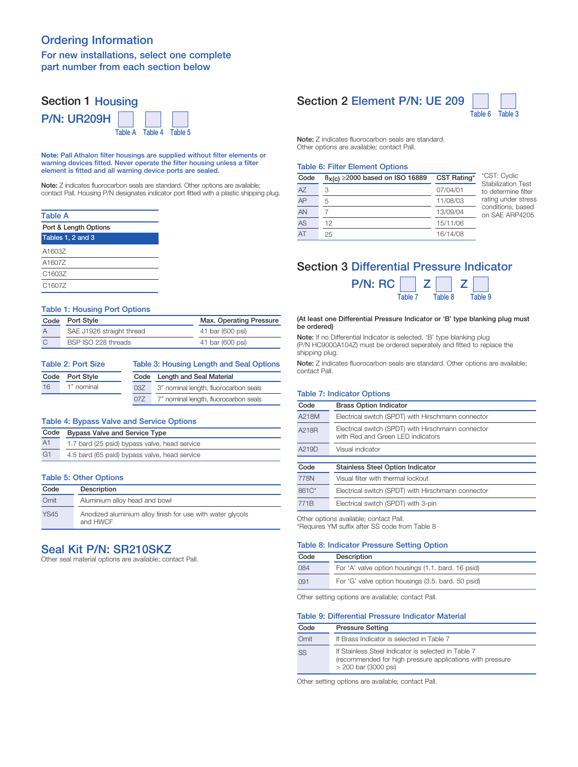## Ordering Information

### For new installations, select one complete part number from each section below

#### Section 1 Housing P/N: UR209H Table A I Table 4 I Table 5

Note: Pall Athalon filter housings are supplied without filter elements or warning devices fitted. Never operate the filter housing unless a filter element is fitted and all warning device ports are sealed.

Note: Z indicates fluorocarbon seals are standard. Other options are available; contact Pall. Housing P/N designates indicator port fitted with a plastic shipping plug.

## Table A

| Port & Length Options |  |  |
|-----------------------|--|--|
| Tables 1, 2 and 3     |  |  |
| A1603Z                |  |  |
| A1607Z                |  |  |
| C1603Z                |  |  |
| C <sub>1607</sub>     |  |  |

#### Table 1: Housing Port Options

|                | Code Port Style           | Max. Operating Pressure |
|----------------|---------------------------|-------------------------|
| $\overline{A}$ | SAE J1926 straight thread | 41 bar (600 psi)        |
| C              | BSP ISO 228 threads       | 41 bar (600 psi)        |

| <b>Table 2: Port Size</b> |            | Table 3: Housing Length and Seal Options |                                       |  |
|---------------------------|------------|------------------------------------------|---------------------------------------|--|
| Code                      | Port Style | Code                                     | Length and Seal Material              |  |
| 16                        | 1" nominal | 03Z                                      | 3" nominal length, fluorocarbon seals |  |
|                           |            | 077                                      | 7" nominal length, fluorocarbon seals |  |

#### Table 4: Bypass Valve and Service Options

| Code           | <b>Bypass Valve and Service Type</b>          |
|----------------|-----------------------------------------------|
| A <sub>1</sub> | 1.7 bard (25 psid) bypass valve, head service |
| G <sub>1</sub> | 4.5 bard (65 psid) bypass valve, head service |
|                |                                               |

#### Table 5: Other Options

| Code        | Description                                                            |
|-------------|------------------------------------------------------------------------|
| Omit        | Aluminium alloy head and bowl                                          |
| <b>YS45</b> | Anodized aluminium alloy finish for use with water glycols<br>and HWCF |

### Seal Kit P/N: SR210SKZ

Other seal material options are available; contact Pall.

## Section 2 Element P/N: UE 209



Note: Z indicates fluorocarbon seals are standard. Other options are available; contact Pall.

#### Table 6: Filter Element Options

| Code | $B_X(c) \ge 2000$ based on ISO 16889 | CST Rating* | *CST: Cyclic<br><b>Stabilization Test</b> |
|------|--------------------------------------|-------------|-------------------------------------------|
| AZ   | 3                                    | 07/04/01    | to determine filter                       |
| AP   | 5                                    | 11/08/03    | rating under stress                       |
| AN   |                                      | 13/09/04    | conditions, based<br>on SAF ARP4205       |
| AS   | 12                                   | 15/11/06    |                                           |
| AT   | 25                                   | 16/14/08    |                                           |

## Section 3 Differential Pressure Indicator



#### (At least one Differential Pressure Indicator or 'B' type blanking plug must be ordered)

Note: If no Differential Indicator is selected, 'B' type blanking plug (P/N HC9000A104Z) must be ordered seperately and fitted to replace the shipping plug.

Note: Z indicates fluorocarbon seals are standard. Other options are available; contact Pall.

#### Table 7: Indicator Options

| Code             | <b>Brass Option Indicator</b>                                                           |
|------------------|-----------------------------------------------------------------------------------------|
| A218M            | Electrical switch (SPDT) with Hirschmann connector                                      |
| A218R            | Electrical switch (SPDT) with Hirschmann connector<br>with Red and Green LED indicators |
| A219D            | Visual indicator                                                                        |
|                  |                                                                                         |
| Code             | <b>Stainless Steel Option Indicator</b>                                                 |
| 778N             | Visual filter with thermal lockout                                                      |
| $861C*$          | Electrical switch (SPDT) with Hirschmann connector                                      |
| 771 <sub>B</sub> | Electrical switch (SPDT) with 3-pin                                                     |
|                  |                                                                                         |

\*Requires YM suffix after SS code from Table 8

### Table 8: Indicator Pressure Setting Option

| Code | Description                                        |
|------|----------------------------------------------------|
| 084  | For 'A' valve option housings (1.1. bard. 16 psid) |
| 091  | For 'G' valve option housings (3.5, bard, 50 psid) |

Other setting options are available; contact Pall.

#### Table 9: Differential Pressure Indicator Material

| Code | <b>Pressure Setting</b>                                                                                                                  |
|------|------------------------------------------------------------------------------------------------------------------------------------------|
| Omit | If Brass Indicator is selected in Table 7                                                                                                |
| SS   | If Stainless Steel Indicator is selected in Table 7<br>(recommended for high pressure applications with pressure<br>> 200 bar (3000 psi) |

Other setting options are available; contact Pall.